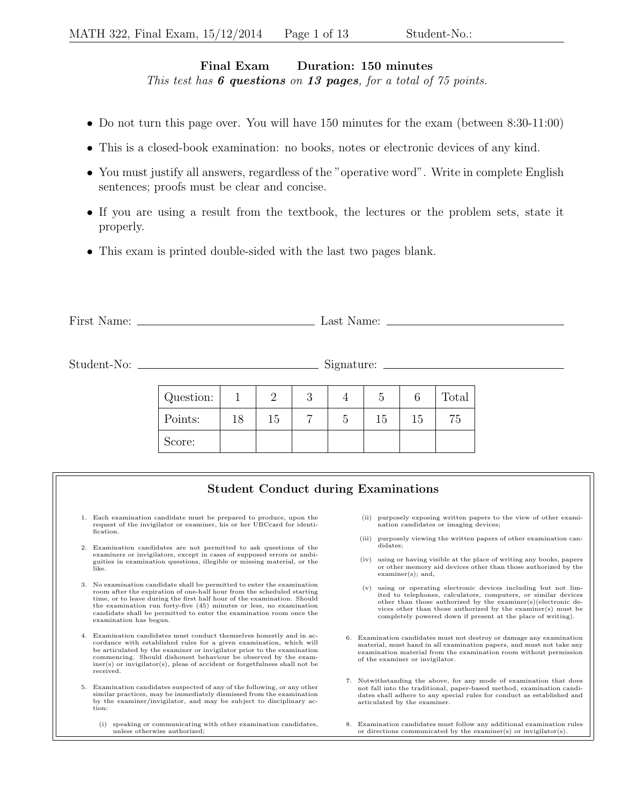## Final Exam Duration: 150 minutes This test has  $6$  questions on 13 pages, for a total of  $75$  points.

- Do not turn this page over. You will have 150 minutes for the exam (between 8:30-11:00)
- This is a closed-book examination: no books, notes or electronic devices of any kind.
- You must justify all answers, regardless of the "operative word". Write in complete English sentences; proofs must be clear and concise.
- If you are using a result from the textbook, the lectures or the problem sets, state it properly.
- This exam is printed double-sided with the last two pages blank.

| First    | $\text{Last}$ |
|----------|---------------|
| Name.    | туалле.       |
| ________ |               |

Student-No: Signature:

| Question: |    |    | ◡ |    |    | Total |
|-----------|----|----|---|----|----|-------|
| Points:   | 18 | 15 |   | 15 | 15 | 75    |
| Score:    |    |    |   |    |    |       |

## Student Conduct during Examinations

- 1. Each examination candidate must be prepared to produce, upon the request of the invigilator or examiner, his or her UBCcard for identification.
- 2. Examination candidates are not permitted to ask questions of the examiners or invigilators, except in cases of supposed errors or ambiguities in examination questions, illegible or missing material, or the like.
- 3. No examination candidate shall be permitted to enter the examination room after the expiration of one-half hour from the scheduled starting time, or to leave during the first half hour of the examination. Should the examination run forty-five (45) minutes or less, no examination candidate shall be permitted to enter the examination room once the examination has begun.
- 4. Examination candidates must conduct themselves honestly and in accordance with established rules for a given examination, which will be articulated by the examiner or invigilator prior to the examination commencing. Should dishonest behaviour be observed by the examiner(s) or invigilator(s), pleas of accident or forgetfulness shall not be received.
- 5. Examination candidates suspected of any of the following, or any other similar practices, may be immediately dismissed from the examination by the examiner/invigilator, and may be subject to disciplinary action:
	- (i) speaking or communicating with other examination candidates, unless otherwise authorized;
- (ii) purposely exposing written papers to the view of other examination candidates or imaging devices;
- (iii) purposely viewing the written papers of other examination candidates;
- (iv) using or having visible at the place of writing any books, papers or other memory aid devices other than those authorized by the examiner(s); and,
- (v) using or operating electronic devices including but not limited to telephones, calculators, computers, or similar devices other than those authorized by the examiner(s)(electronic de-vices other than those authorized by the examiner(s) must be completely powered down if present at the place of writing).
- 6. Examination candidates must not destroy or damage any examination material, must hand in all examination papers, and must not take any examination material from the examination room without permission of the examiner or invigilator.
- 7. Notwithstanding the above, for any mode of examination that does not fall into the traditional, paper-based method, examination candidates shall adhere to any special rules for conduct as established and articulated by the examiner.
- 8. Examination candidates must follow any additional examination rules or directions communicated by the examiner(s) or invigilator(s).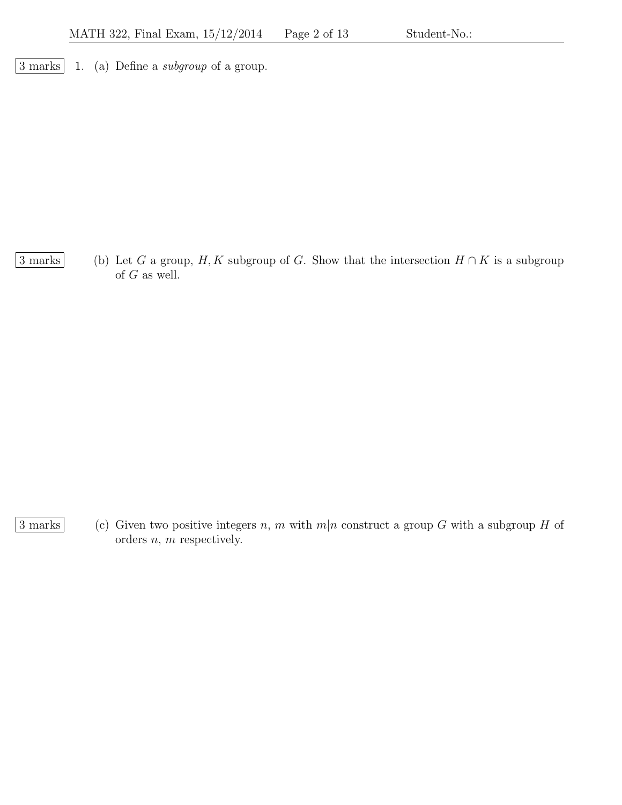$\boxed{3 \text{ marks}}$  1. (a) Define a *subgroup* of a group.

 $\boxed{3 \text{ marks}}$  (b) Let G a group, H, K subgroup of G. Show that the intersection  $H \cap K$  is a subgroup of G as well.

3 marks (c) Given two positive integers n, m with  $m|n$  construct a group G with a subgroup H of orders  $n$ ,  $m$  respectively.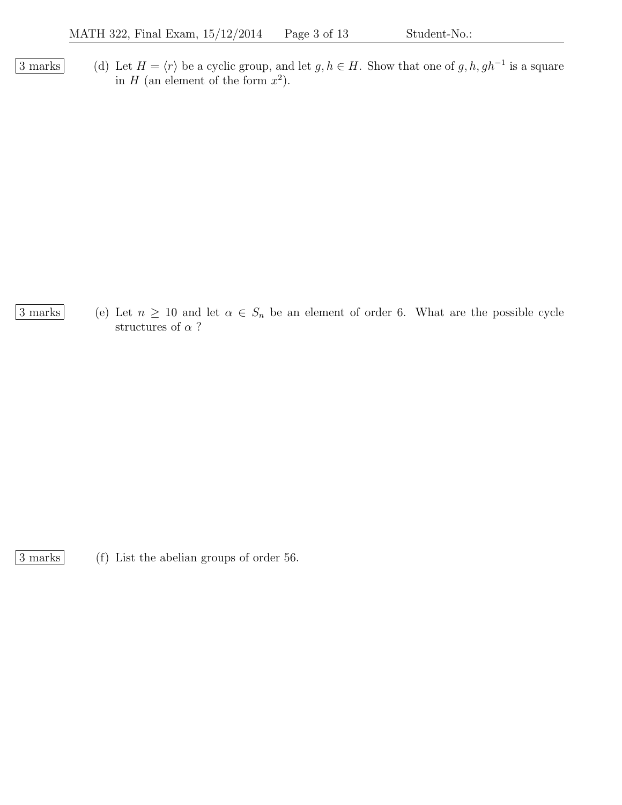3 marks (d) Let  $H = \langle r \rangle$  be a cyclic group, and let  $g, h \in H$ . Show that one of  $g, h, gh^{-1}$  is a square in H (an element of the form  $x^2$ ).

3 marks (e) Let  $n \geq 10$  and let  $\alpha \in S_n$  be an element of order 6. What are the possible cycle structures of  $\alpha$  ?

3 marks (f) List the abelian groups of order 56.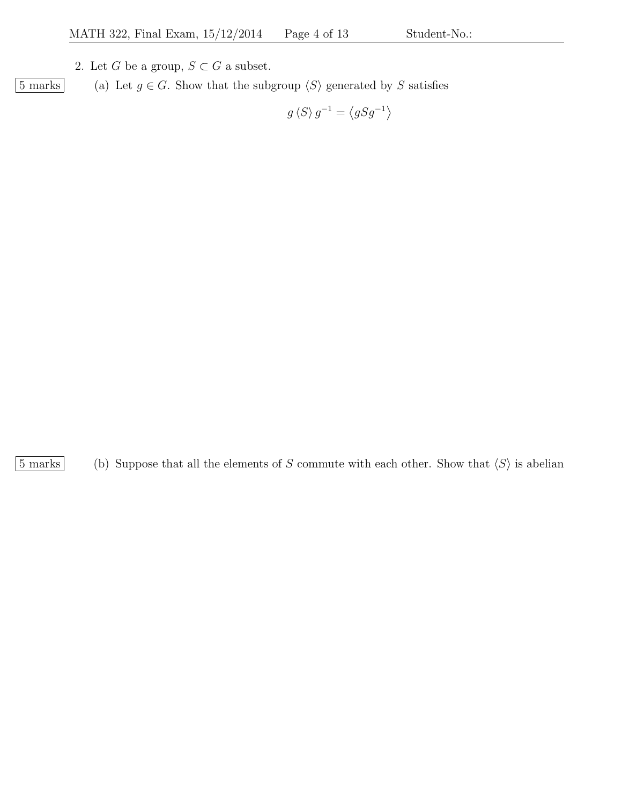2. Let G be a group,  $S\subset G$  a subset.

 $\boxed{5 \text{ marks}}$  (a) Let  $g \in G$ . Show that the subgroup  $\langle S \rangle$  generated by S satisfies  $\overline{1}$ 

$$
g\langle S\rangle g^{-1} = \langle gSg^{-1}\rangle
$$

 $\boxed{5 \text{ marks}}$  (b) Suppose that all the elements of S commute with each other. Show that  $\langle S \rangle$  is abelian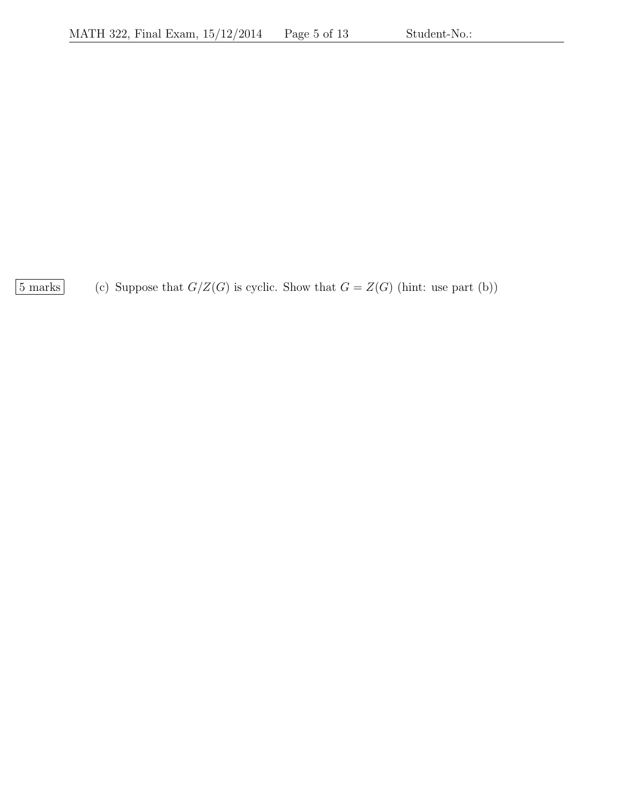$\boxed{5 \text{ marks}}$  (c) Suppose that  $G/Z(G)$  is cyclic. Show that  $G = Z(G)$  (hint: use part (b))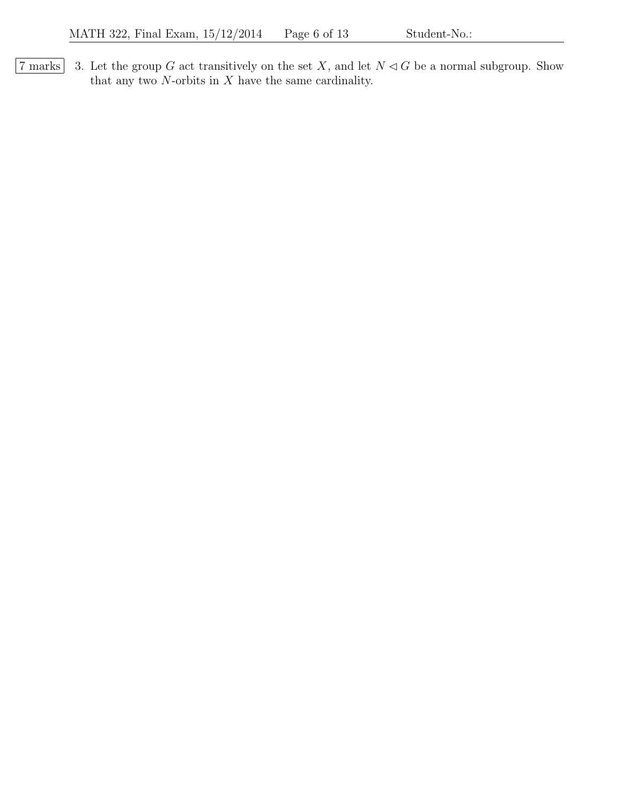$\boxed{7 \text{ marks}}$  3. Let the group G act transitively on the set X, and let  $N \triangleleft G$  be a normal subgroup. Show that any two  $N\mbox{-orbits}$  in  $X$  have the same cardinality.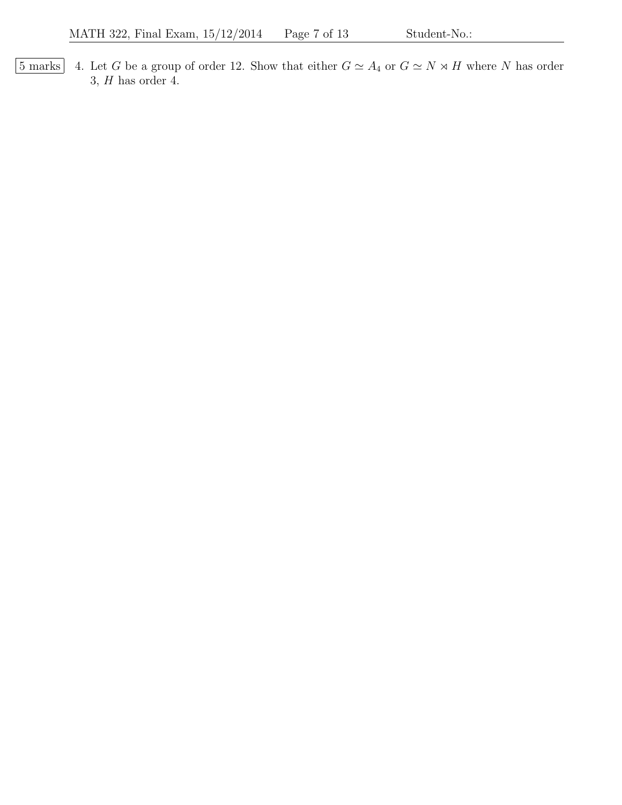$\boxed{5 \text{ marks}}$  4. Let G be a group of order 12. Show that either  $G \simeq A_4$  or  $G \simeq N \rtimes H$  where N has order  $3, H$  has order 4.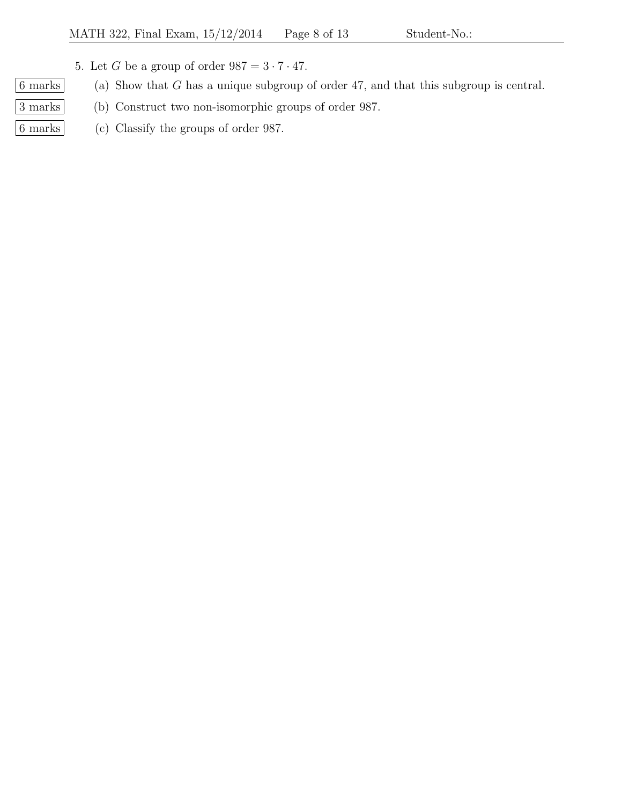- 5. Let G be a group of order  $987 = 3 \cdot 7 \cdot 47$ .
- $\boxed{6 \text{ marks}}$  (a) Show that G has a unique subgroup of order 47, and that this subgroup is central.
- 3 marks (b) Construct two non-isomorphic groups of order 987.
- 6 marks (c) Classify the groups of order 987.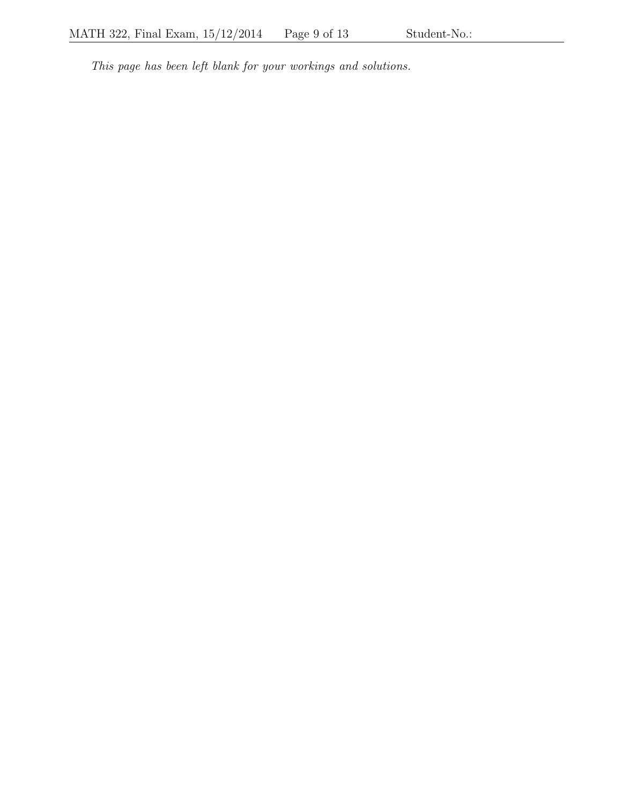This page has been left blank for your workings and solutions.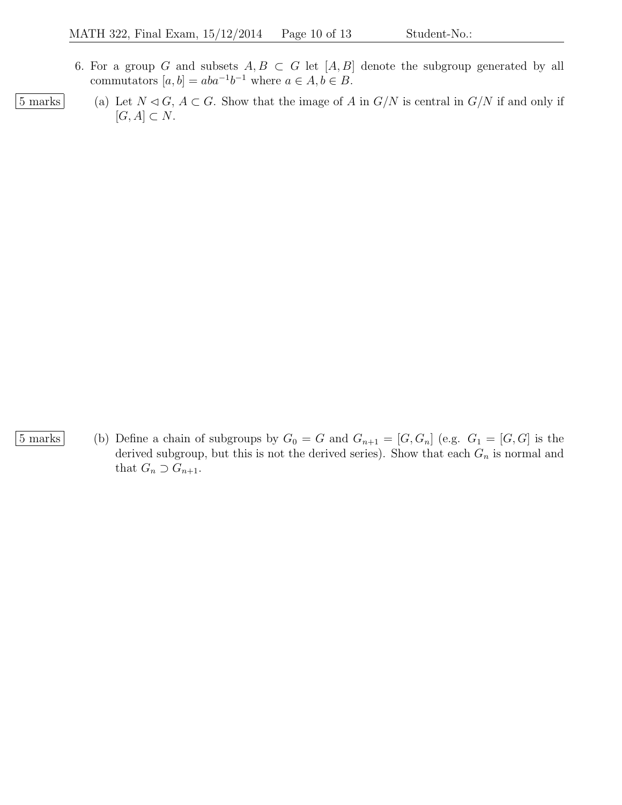- 6. For a group G and subsets  $A, B \subset G$  let  $[A, B]$  denote the subgroup generated by all commutators  $[a, b] = aba^{-1}b^{-1}$  where  $a \in A, b \in B$ .
- 5 marks (a) Let  $N \lhd G$ ,  $A \subset G$ . Show that the image of A in  $G/N$  is central in  $G/N$  if and only if  $[G, A] \subset N$ .

5 marks (b) Define a chain of subgroups by  $G_0 = G$  and  $G_{n+1} = [G, G_n]$  (e.g.  $G_1 = [G, G]$  is the derived subgroup, but this is not the derived series). Show that each  $G_n$  is normal and that  $G_n \supset G_{n+1}$ .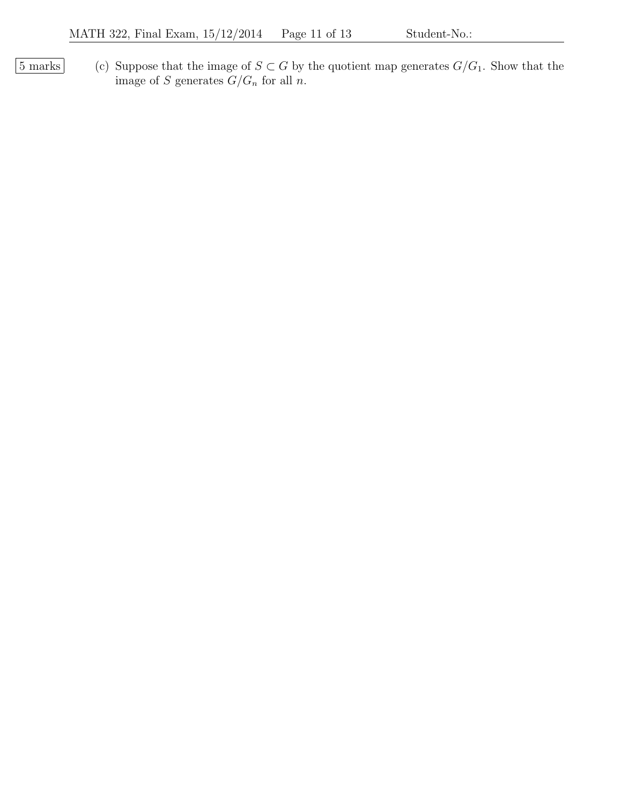5 marks (c) Suppose that the image of  $S \subset G$  by the quotient map generates  $G/G_1$ . Show that the image of S generates  $G/G_n$  for all n.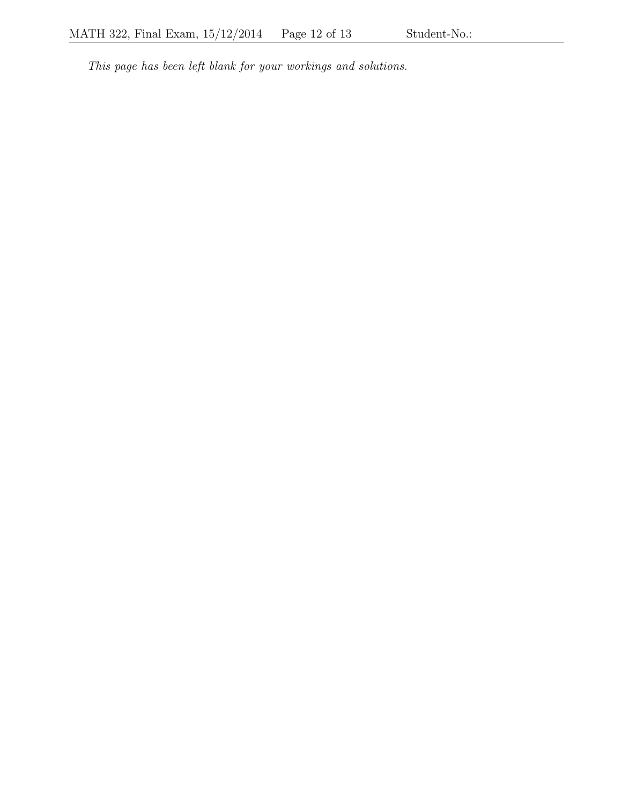This page has been left blank for your workings and solutions.